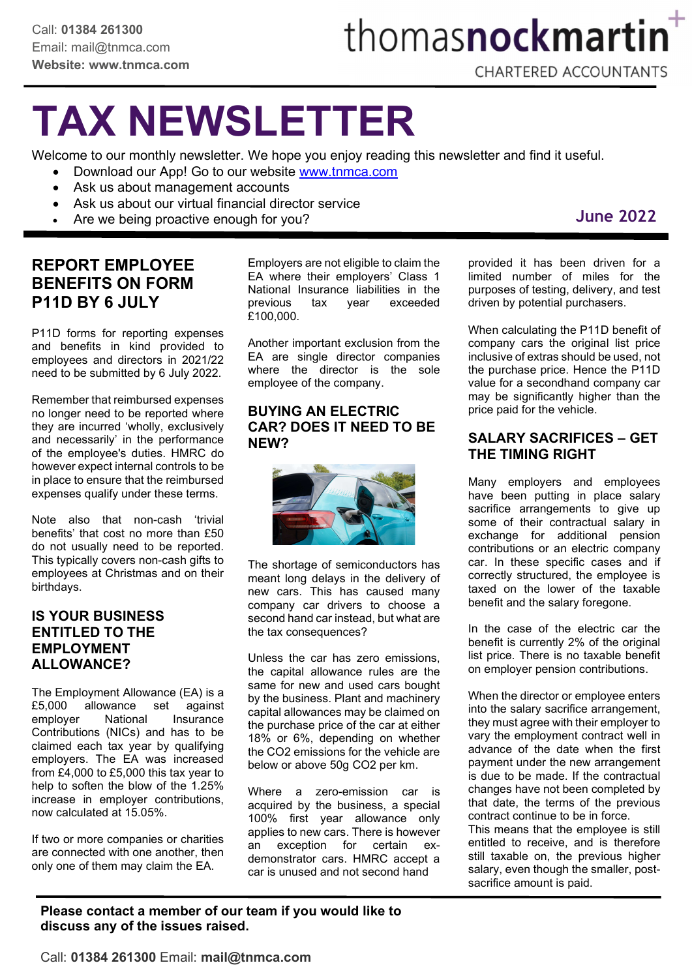# thomasnockmartin<sup>+</sup>

### TAX NEWSLETTER

Welcome to our monthly newsletter. We hope you enjoy reading this newsletter and find it useful.

- Download our App! Go to our website www.tnmca.com
- Ask us about management accounts
- Ask us about our virtual financial director service
- Are we being proactive enough for you?

### REPORT EMPLOYEE BENEFITS ON FORM P11D BY 6 JULY

P11D forms for reporting expenses and benefits in kind provided to employees and directors in 2021/22 need to be submitted by 6 July 2022.

Remember that reimbursed expenses no longer need to be reported where they are incurred 'wholly, exclusively and necessarily' in the performance of the employee's duties. HMRC do however expect internal controls to be in place to ensure that the reimbursed expenses qualify under these terms.

Note also that non-cash 'trivial benefits' that cost no more than £50 do not usually need to be reported. This typically covers non-cash gifts to employees at Christmas and on their birthdays.

### IS YOUR BUSINESS ENTITLED TO THE EMPLOYMENT ALLOWANCE?

The Employment Allowance (EA) is a £5,000 allowance set against employer National Insurance Contributions (NICs) and has to be claimed each tax year by qualifying employers. The EA was increased from £4,000 to £5,000 this tax year to help to soften the blow of the 1.25% increase in employer contributions, now calculated at 15.05%.

If two or more companies or charities are connected with one another, then only one of them may claim the EA.

Employers are not eligible to claim the EA where their employers' Class 1 National Insurance liabilities in the previous tax year exceeded £100,000.

Another important exclusion from the EA are single director companies where the director is the sole employee of the company.

#### BUYING AN ELECTRIC CAR? DOES IT NEED TO BE NEW?



The shortage of semiconductors has meant long delays in the delivery of new cars. This has caused many company car drivers to choose a second hand car instead, but what are the tax consequences?

Unless the car has zero emissions, the capital allowance rules are the same for new and used cars bought by the business. Plant and machinery capital allowances may be claimed on the purchase price of the car at either 18% or 6%, depending on whether the CO2 emissions for the vehicle are below or above 50g CO2 per km.

Where a zero-emission car is acquired by the business, a special 100% first year allowance only applies to new cars. There is however an exception for certain exdemonstrator cars. HMRC accept a car is unused and not second hand

provided it has been driven for a limited number of miles for the purposes of testing, delivery, and test driven by potential purchasers.

When calculating the P11D benefit of company cars the original list price inclusive of extras should be used, not the purchase price. Hence the P11D value for a secondhand company car may be significantly higher than the price paid for the vehicle.

### SALARY SACRIFICES – GET THE TIMING RIGHT

Many employers and employees have been putting in place salary sacrifice arrangements to give up some of their contractual salary in exchange for additional pension contributions or an electric company car. In these specific cases and if correctly structured, the employee is taxed on the lower of the taxable benefit and the salary foregone.

In the case of the electric car the benefit is currently 2% of the original list price. There is no taxable benefit on employer pension contributions.

When the director or employee enters into the salary sacrifice arrangement, they must agree with their employer to vary the employment contract well in advance of the date when the first payment under the new arrangement is due to be made. If the contractual changes have not been completed by that date, the terms of the previous contract continue to be in force.

This means that the employee is still entitled to receive, and is therefore still taxable on, the previous higher salary, even though the smaller, postsacrifice amount is paid.

Please contact a member of our team if you would like to discuss any of the issues raised.

### June 2022

Call: 01384 261300 Email: mail@tnmca.com